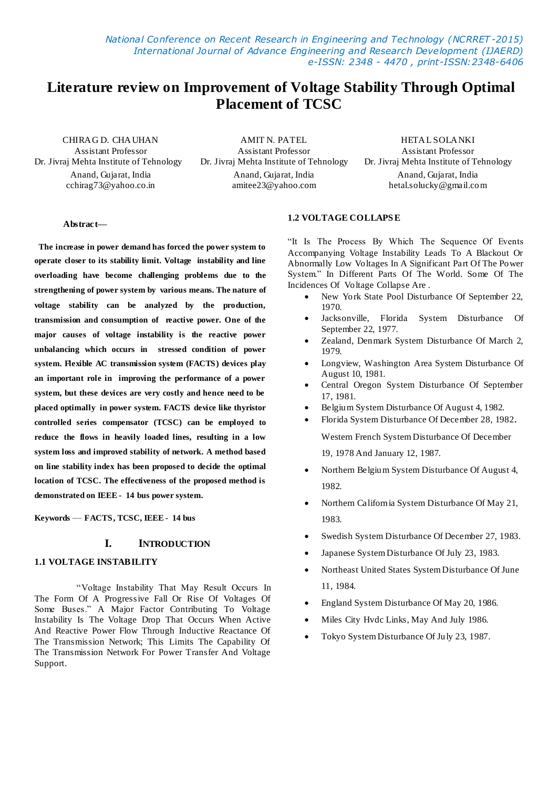*National Conference on Recent Research in Engineering and Technology (NCRRET -2015) International Journal of Advance Engineering and Research Development (IJAERD) e-ISSN: 2348 - 4470 , print-ISSN:2348-6406*

# **Literature review on Improvement of Voltage Stability Through Optimal Placement of TCSC**

Assistant Professor Assistant Professor Assistant Professor

Anand, Gujarat, India Anand, Gujarat, India Anand, Gujarat, India

CHIRAG D. CHAUHAN AMIT N. PATEL HETAL SOLANKI<br>Assistant Professor Assistant Professor Assistant Professor

Dr. Jivraj Mehta Institute of Tehnology Dr. Jivraj Mehta Institute of Tehnology Dr. Jivraj Mehta Institute of Tehnology

cchirag73@yahoo.co.in amitee23@yahoo.com hetal.solucky@gmail.com

### **Abstract—**

 **The increase in power demand has forced the power system to operate closer to its stability limit. Voltage instability and line overloading have become challenging problems due to the strengthening of power system by various means. The nature of voltage stability can be analyzed by the production, transmission and consumption of reactive power. One of the major causes of voltage instability is the reactive power unbalancing which occurs in stressed condition of power system. Flexible AC transmission system (FACTS) devices play an important role in improving the performance of a power system, but these devices are very costly and hence need to be placed optimally in power system. FACTS device like thyristor controlled series compensator (TCSC) can be employed to reduce the flows in heavily loaded lines, resulting in a low system loss and improved stability of network. A method based on line stability index has been proposed to decide the optimal location of TCSC. The effectiveness of the proposed method is demonstrated on IEEE - 14 bus power system.**

**Keywords** — **FACTS, TCSC, IEEE - 14 bus**

### **I. INTRODUCTION**

### **1.1 VOLTAGE INSTABILITY**

 ―Voltage Instability That May Result Occurs In The Form Of A Progressive Fall Or Rise Of Voltages Of Some Buses." A Major Factor Contributing To Voltage Instability Is The Voltage Drop That Occurs When Active And Reactive Power Flow Through Inductive Reactance Of The Transmission Network; This Limits The Capability Of The Transmission Network For Power Transfer And Voltage Support.

### **1.2 VOLTAGE COLLAPS E**

"It Is The Process By Which The Sequence Of Events Accompanying Voltage Instability Leads To A Blackout Or Abnormally Low Voltages In A Significant Part Of The Power System." In Different Parts Of The World. Some Of The Incidences Of Voltage Collapse Are .

- New York State Pool Disturbance Of September 22, 1970.
- Jacksonville, Florida System Disturbance Of September 22, 1977.
- Zealand, Denmark System Disturbance Of March 2, 1979.
- Longview, Washington Area System Disturbance Of August 10, 1981.
- Central Oregon System Disturbance Of September 17, 1981.
- Belgium System Disturbance Of August 4, 1982.
- Florida System Disturbance Of December 28, 1982.

Western French System Disturbance Of December

19, 1978 And January 12, 1987.

- Northern Belgium System Disturbance Of August 4, 1982.
- Northern California System Disturbance Of May 21, 1983.
- Swedish System Disturbance Of December 27, 1983.
- Japanese System Disturbance Of July 23, 1983.
- Northeast United States System Disturbance Of June 11, 1984.
- England System Disturbance Of May 20, 1986.
- Miles City Hvdc Links, May And July 1986.
- Tokyo System Disturbance Of July 23, 1987.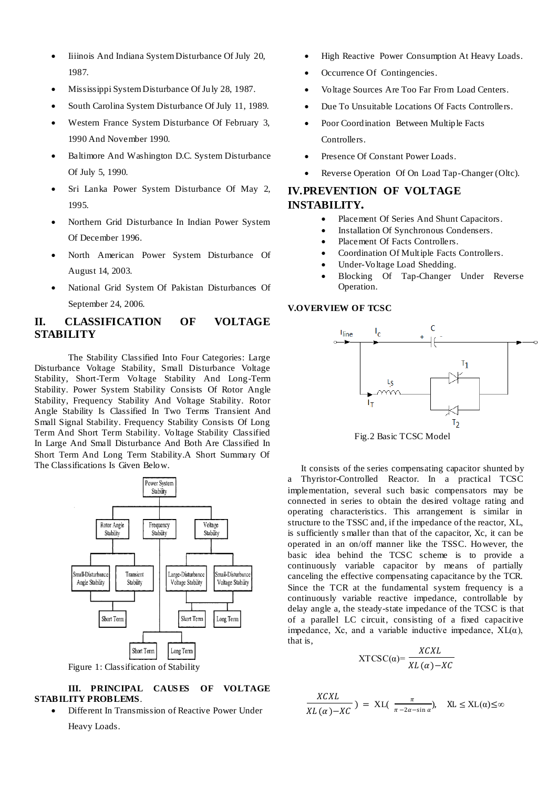- Iiiinois And Indiana System Disturbance Of July 20, 1987.
- Mississippi System Disturbance Of July 28, 1987.
- South Carolina System Disturbance Of July 11, 1989.
- Western France System Disturbance Of February 3, 1990 And November 1990.
- Baltimore And Washington D.C. System Disturbance Of July 5, 1990.
- Sri Lanka Power System Disturbance Of May 2, 1995.
- Northern Grid Disturbance In Indian Power System Of December 1996.
- North American Power System Disturbance Of August 14, 2003.
- National Grid System Of Pakistan Disturbances Of September 24, 2006.

# **II. CLASSIFICATION OF VOLTAGE STABILITY**

The Stability Classified Into Four Categories: Large Disturbance Voltage Stability, Small Disturbance Voltage Stability, Short-Term Voltage Stability And Long-Term Stability. Power System Stability Consists Of Rotor Angle Stability, Frequency Stability And Voltage Stability. Rotor Angle Stability Is Classified In Two Terms Transient And Small Signal Stability. Frequency Stability Consists Of Long Term And Short Term Stability. Voltage Stability Classified In Large And Small Disturbance And Both Are Classified In Short Term And Long Term Stability.A Short Summary Of The Classifications Is Given Below.



Figure 1: Classification of Stability

# **III. PRINCIPAL CAUS ES OF VOLTAGE STABILITY PROBLEMS**.

 Different In Transmission of Reactive Power Under Heavy Loads.

- High Reactive Power Consumption At Heavy Loads.
- Occurrence Of Contingencies.
- Voltage Sources Are Too Far From Load Centers.
- Due To Unsuitable Locations Of Facts Controllers.
- Poor Coordination Between Multiple Facts Controllers.
- Presence Of Constant Power Loads.
- Reverse Operation Of On Load Tap-Changer (Oltc).

# **IV.PREVENTION OF VOLTAGE INSTABILITY.**

- Placement Of Series And Shunt Capacitors.
- Installation Of Synchronous Condensers.
- Placement Of Facts Controllers.
- Coordination Of Multiple Facts Controllers.
- Under-Voltage Load Shedding.
- Blocking Of Tap-Changer Under Reverse Operation.

# **V.OVERVIEW OF TCSC**



Fig.2 Basic TCSC Model

 It consists of the series compensating capacitor shunted by a Thyristor-Controlled Reactor. In a practical TCSC implementation, several such basic compensators may be connected in series to obtain the desired voltage rating and operating characteristics. This arrangement is similar in structure to the TSSC and, if the impedance of the reactor, XL, is sufficiently s maller than that of the capacitor, Xc, it can be operated in an on/off manner like the TSSC. However, the basic idea behind the TCSC scheme is to provide a continuously variable capacitor by means of partially canceling the effective compensating capacitance by the TCR. Since the TCR at the fundamental system frequency is a continuously variable reactive impedance, controllable by delay angle a, the steady-state impedance of the TCSC is that of a parallel LC circuit, consisting of a fixed capacitive impedance, Xc, and a variable inductive impedance,  $XL(\alpha)$ , that is,  $- - - - -$ 

$$
XTCSC(\alpha) = \frac{XCKL}{XL(\alpha)-XC}
$$

$$
\frac{XCXL}{XL(\alpha)-XC}
$$
) = XL( $\frac{\pi}{\pi - 2\alpha - \sin \alpha}$ ), XL  $\le$  XL( $\alpha$ ) $\le$ ∞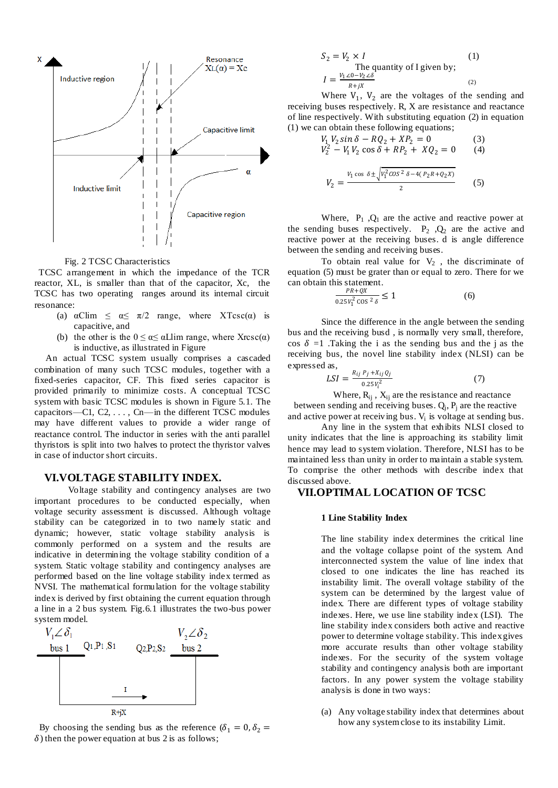

Fig. 2 TCSC Characteristics

 TCSC arrangement in which the impedance of the TCR reactor, XL, is smaller than that of the capacitor, Xc, the TCSC has two operating ranges around its internal circuit resonance:

- (a)  $\alpha$ Clim  $\leq \alpha \leq \pi/2$  range, where XTcsc( $\alpha$ ) is capacitive, and
- (b) the other is the  $0 \le \alpha \le \alpha$ Llim range, where Xrcsc( $\alpha$ ) is inductive, as illustrated in Figure

 An actual TCSC system usually comprises a cascaded combination of many such TCSC modules, together with a fixed-series capacitor, CF. This fixed series capacitor is provided primarily to minimize costs. A conceptual TCSC system with basic TCSC modules is shown in Figure 5.1. The capacitors—C1, C2, . . . , Cn—in the different TCSC modules may have different values to provide a wider range of reactance control. The inductor in series with the anti parallel thyristors is split into two halves to protect the thyristor valves in case of inductor short circuits.

### **VI.VOLTAGE STABILITY INDEX.**

Voltage stability and contingency analyses are two important procedures to be conducted especially, when voltage security assessment is discussed. Although voltage stability can be categorized in to two namely static and dynamic; however, static voltage stability analysis is commonly performed on a system and the results are indicative in determining the voltage stability condition of a system. Static voltage stability and contingency analyses are performed based on the line voltage stability index termed as NVSI. The mathematical formulation for the voltage stability index is derived by first obtaining the current equation through a line in a 2 bus system. Fig.6.1 illustrates the two-bus power system model.



By choosing the sending bus as the reference  $(\delta_1 = 0, \delta_2 =$  $\delta$ ) then the power equation at bus 2 is as follows;

$$
S_2 = V_2 \times I
$$
 (1)  
The quantity of I given by;  

$$
I = \frac{V_1 \angle 0 - V_2 \angle \delta}{R + jX}
$$
 (2)

Where  $V_1$ ,  $V_2$  are the voltages of the sending and receiving buses respectively. R, X are resistance and reactance of line respectively. With substituting equation (2) in equation (1) we can obtain these following equations;

$$
V_1 V_2 \sin \delta - R Q_2 + X P_2 = 0 \tag{3}
$$
  
\n
$$
V_2^2 - V_1 V_2 \cos \delta + R P_2 + X Q_2 = 0 \tag{4}
$$
  
\n
$$
V_2 = \frac{V_1 \cos \delta \pm \sqrt{V_1^2 \cos^2 \delta - 4(P_2 R + Q_2 X)}}{2} \tag{5}
$$

Where,  $P_1$ ,  $Q_1$  are the active and reactive power at the sending buses respectively.  $P_2$ ,  $Q_2$  are the active and reactive power at the receiving buses. d is angle difference between the sending and receiving buses.

To obtain real value for  $V_2$ , the discriminate of equation (5) must be grater than or equal to zero. There for we can obtain this statement.

$$
\frac{PR + QX}{0.25V_1^2 \cos^2 \delta} \le 1\tag{6}
$$

Since the difference in the angle between the sending bus and the receiving busd , is normally very small, therefore, cos  $\delta = 1$ . Taking the i as the sending bus and the j as the receiving bus, the novel line stability index (NLSI) can be expressed as,

$$
LSI = \frac{R_{ij} P_j + X_{ij} Q_j}{0.25 V_i^2}
$$
 (7)

Where,  $R_{ij}$ ,  $X_{ij}$  are the resistance and reactance between sending and receiving buses.  $Q_j$ ,  $P_j$  are the reactive and active power at receiving bus.  $V_i$  is voltage at sending bus.

Any line in the system that exhibits NLSI closed to unity indicates that the line is approaching its stability limit hence may lead to system violation. Therefore, NLSI has to be maintained less than unity in order to maintain a stable system. To comprise the other methods with describe index that discussed above.

## **VII.OPTIMAL LOCATION OF TCSC**

#### **1 Line Stability Index**

The line stability index determines the critical line and the voltage collapse point of the system. And interconnected system the value of line index that closed to one indicates the line has reached its instability limit. The overall voltage stability of the system can be determined by the largest value of index. There are different types of voltage stability indexes. Here, we use line stability index (LSI). The line stability index considers both active and reactive power to determine voltage stability. This index gives more accurate results than other voltage stability indexes. For the security of the system voltage stability and contingency analysis both are important factors. In any power system the voltage stability analysis is done in two ways:

(a) Any voltage stability index that determines about how any system close to its instability Limit.